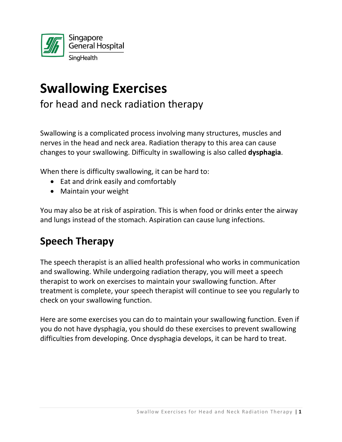

# **Swallowing Exercises**

for head and neck radiation therapy

Swallowing is a complicated process involving many structures, muscles and nerves in the head and neck area. Radiation therapy to this area can cause changes to your swallowing. Difficulty in swallowing is also called **dysphagia**.

When there is difficulty swallowing, it can be hard to:

- Eat and drink easily and comfortably
- Maintain your weight

You may also be at risk of aspiration. This is when food or drinks enter the airway and lungs instead of the stomach. Aspiration can cause lung infections.

## **Speech Therapy**

The speech therapist is an allied health professional who works in communication and swallowing. While undergoing radiation therapy, you will meet a speech therapist to work on exercises to maintain your swallowing function. After treatment is complete, your speech therapist will continue to see you regularly to check on your swallowing function.

Here are some exercises you can do to maintain your swallowing function. Even if you do not have dysphagia, you should do these exercises to prevent swallowing difficulties from developing. Once dysphagia develops, it can be hard to treat.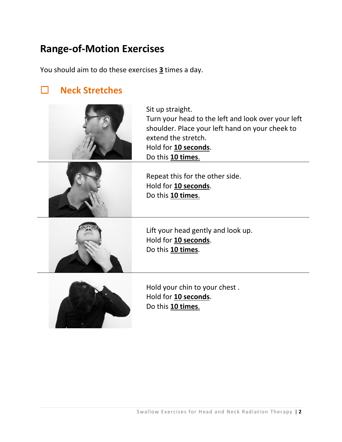### **Range-of-Motion Exercises**

You should aim to do these exercises **3** times a day.

### **Neck Stretches**



Sit up straight. Turn your head to the left and look over your left shoulder. Place your left hand on your cheek to extend the stretch. Hold for **10 seconds**. Do this **10 times**.



Repeat this for the other side. Hold for **10 seconds**. Do this **10 times**.



Lift your head gently and look up. Hold for **10 seconds**. Do this **10 times**.



Hold your chin to your chest . Hold for **10 seconds**. Do this **10 times**.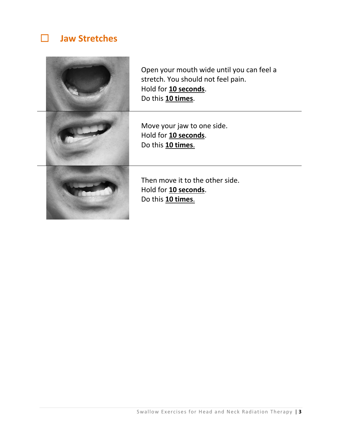### **Jaw Stretches**



Open your mouth wide until you can feel a stretch. You should not feel pain. Hold for **10 seconds**. Do this **10 times**.

Move your jaw to one side. Hold for **10 seconds**. Do this **10 times**.

Then move it to the other side. Hold for **10 seconds**. Do this **10 times**.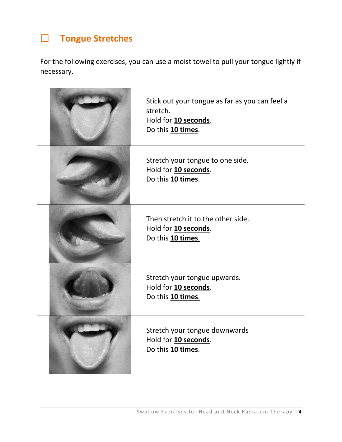## **Tongue Stretches**

For the following exercises, you can use a moist towel to pull your tongue lightly if necessary.

| Stick out your tongue as far as you can feel a<br>stretch.<br>Hold for 10 seconds.<br>Do this 10 times. |
|---------------------------------------------------------------------------------------------------------|
| Stretch your tongue to one side.<br>Hold for 10 seconds.<br>Do this 10 times.                           |
| Then stretch it to the other side.<br>Hold for 10 seconds.<br>Do this 10 times.                         |
| Stretch your tongue upwards.<br>Hold for 10 seconds.<br>Do this 10 times.                               |
| Stretch your tongue downwards<br>Hold for 10 seconds.<br>Do this 10 times.                              |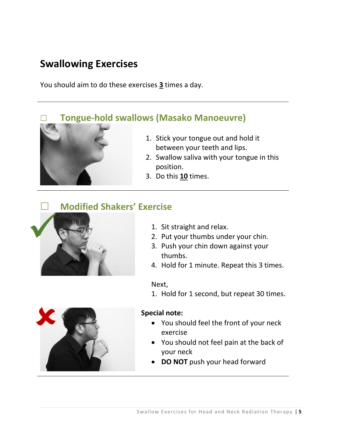### **Swallowing Exercises**

You should aim to do these exercises **3** times a day.

### **Tongue-hold swallows (Masako Manoeuvre)**



- 2. Swallow saliva with your tongue in this position.
- 3. Do this **10** times.

### **Modified Shakers' Exercise**



1. Sit straight and relax.

- 2. Put your thumbs under your chin.
- 3. Push your chin down against your thumbs.
- 4. Hold for 1 minute. Repeat this 3 times.

#### Next,

1. Hold for 1 second, but repeat 30 times.



#### **Special note:**

- You should feel the front of your neck exercise
- You should not feel pain at the back of your neck
- **DO NOT** push your head forward